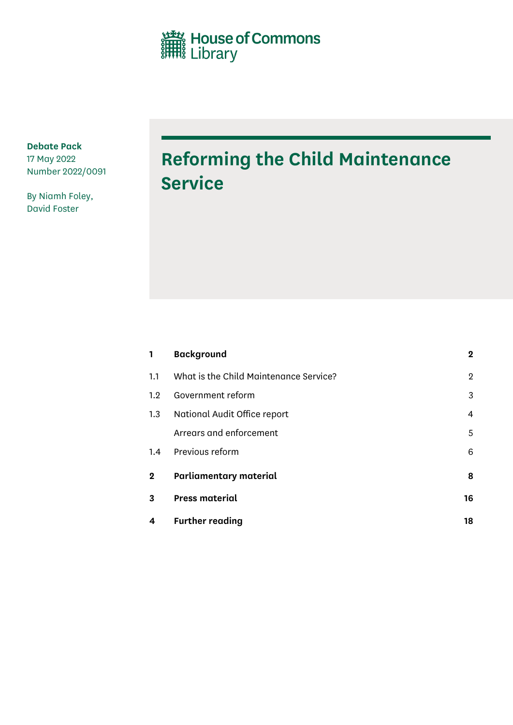House of Commons<br>
Illibrary

**Debate Pack** 17 May 2022 Number 2022/0091

By Niamh Foley, David Foster

# **Reforming the Child Maintenance Service**

| $\mathbf{1}$ | <b>Background</b>                      | $\overline{2}$ |
|--------------|----------------------------------------|----------------|
| 1.1          | What is the Child Maintenance Service? | $\overline{2}$ |
| 1.2          | Government reform                      | 3              |
| 1.3          | National Audit Office report           | 4              |
|              | Arrears and enforcement                | 5              |
| 1.4          | Previous reform                        | 6              |
| $\mathbf 2$  | <b>Parliamentary material</b>          | 8              |
| 3            | <b>Press material</b>                  | 16             |
| 4            | <b>Further reading</b>                 | 18             |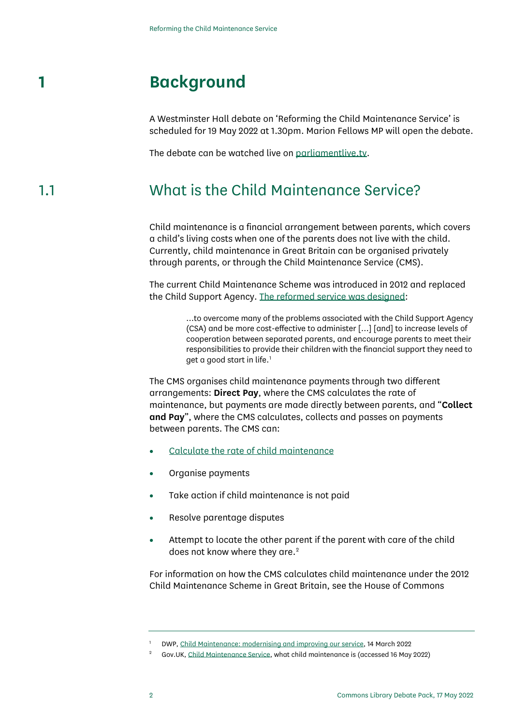## **1 Background**

<span id="page-1-0"></span>A Westminster Hall debate on 'Reforming the Child Maintenance Service' is scheduled for 19 May 2022 at 1.30pm. Marion Fellows MP will open the debate.

<span id="page-1-1"></span>The debate can be watched live on [parliamentlive.tv.](https://parliamentlive.tv/event/index/84525373-96a3-4008-b4ff-7dc0e85a4e1a)

### 1.1 What is the Child Maintenance Service?

Child maintenance is a financial arrangement between parents, which covers a child's living costs when one of the parents does not live with the child. Currently, child maintenance in Great Britain can be organised privately through parents, or through the Child Maintenance Service (CMS).

The current Child Maintenance Scheme was introduced in 2012 and replaced the Child Support Agency. [The reformed service was designed:](https://www.gov.uk/government/consultations/child-maintenance-modernising-and-improving-our-service/child-maintenance-modernising-and-improving-our-service)

> …to overcome many of the problems associated with the Child Support Agency (CSA) and be more cost-effective to administer […] [and] to increase levels of cooperation between separated parents, and encourage parents to meet their responsibilities to provide their children with the financial support they need to get a good start in life. [1](#page-1-2)

The CMS organises child maintenance payments through two different arrangements: **Direct Pay**, where the CMS calculates the rate of maintenance, but payments are made directly between parents, and "**Collect and Pay**", where the CMS calculates, collects and passes on payments between parents. The CMS can:

- [Calculate the rate of child maintenance](https://www.gov.uk/child-maintenance-service)
- Organise payments
- Take action if child maintenance is not paid
- Resolve parentage disputes
- Attempt to locate the other parent if the parent with care of the child does not know where they are.<sup>[2](#page-1-3)</sup>

For information on how the CMS calculates child maintenance under the 2012 Child Maintenance Scheme in Great Britain, see the House of Commons

<sup>1</sup> DWP[, Child Maintenance: modernising and improving our service,](https://www.gov.uk/government/consultations/child-maintenance-modernising-and-improving-our-service/child-maintenance-modernising-and-improving-our-service) 14 March 2022

<span id="page-1-3"></span><span id="page-1-2"></span><sup>2</sup> Gov.UK[, Child Maintenance Service,](https://www.gov.uk/child-maintenance-service) what child maintenance is (accessed 16 May 2022)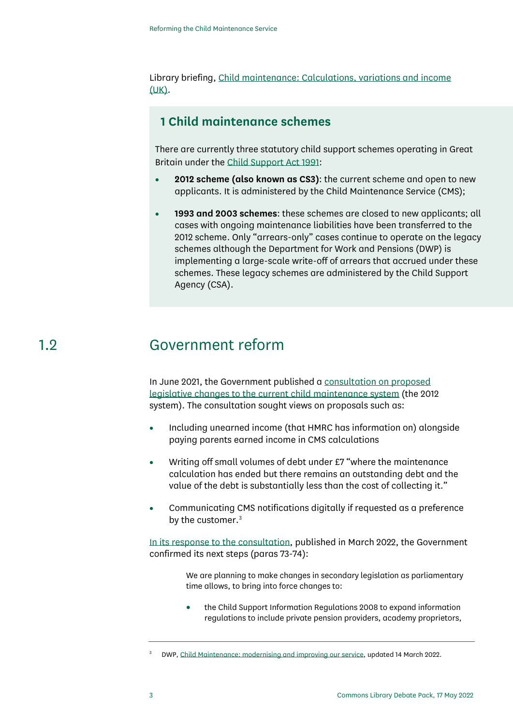Library briefing, [Child maintenance: Calculations, variations and income](https://commonslibrary.parliament.uk/research-briefings/cbp-7770/)  [\(UK\).](https://commonslibrary.parliament.uk/research-briefings/cbp-7770/)

### **1 Child maintenance schemes**

There are currently three statutory child support schemes operating in Great Britain under th[e Child Support Act 1991:](https://www.legislation.gov.uk/ukpga/1991/48/contents/enacted)

- **2012 scheme (also known as CS3)**: the current scheme and open to new applicants. It is administered by the Child Maintenance Service (CMS);
- **1993 and 2003 schemes**: these schemes are closed to new applicants; all cases with ongoing maintenance liabilities have been transferred to the 2012 scheme. Only "arrears-only" cases continue to operate on the legacy schemes although the Department for Work and Pensions (DWP) is implementing a large-scale write-off of arrears that accrued under these schemes. These legacy schemes are administered by the Child Support Agency (CSA).

### 1.2 Government reform

<span id="page-2-0"></span>In June 2021, the Government published a [consultation on proposed](https://www.gov.uk/government/consultations/child-maintenance-modernising-and-improving-our-service/child-maintenance-modernising-and-improving-our-service)  [legislative changes to the current child maintenance system](https://www.gov.uk/government/consultations/child-maintenance-modernising-and-improving-our-service/child-maintenance-modernising-and-improving-our-service) (the 2012 system). The consultation sought views on proposals such as:

- Including unearned income (that HMRC has information on) alongside paying parents earned income in CMS calculations
- Writing off small volumes of debt under £7 "where the maintenance calculation has ended but there remains an outstanding debt and the value of the debt is substantially less than the cost of collecting it."
- Communicating CMS notifications digitally if requested as a preference by the customer. [3](#page-2-1)

[In its response to the consultation,](https://www.gov.uk/government/consultations/child-maintenance-modernising-and-improving-our-service/outcome/government-response-child-maintenance-modernising-and-improving-our-service#next-steps) published in March 2022, the Government confirmed its next steps (paras 73-74):

> We are planning to make changes in secondary legislation as parliamentary time allows, to bring into force changes to:

> • the Child Support Information Regulations 2008 to expand information regulations to include private pension providers, academy proprietors,

<span id="page-2-1"></span><sup>3</sup> DWP[, Child Maintenance: modernising and improving our service,](https://www.gov.uk/government/consultations/child-maintenance-modernising-and-improving-our-service/outcome/government-response-child-maintenance-modernising-and-improving-our-service) updated 14 March 2022.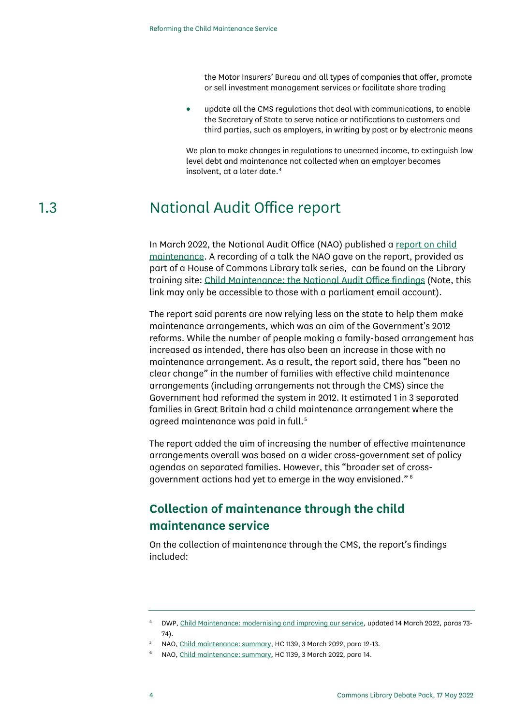the Motor Insurers' Bureau and all types of companies that offer, promote or sell investment management services or facilitate share trading

• update all the CMS regulations that deal with communications, to enable the Secretary of State to serve notice or notifications to customers and third parties, such as employers, in writing by post or by electronic means

We plan to make changes in regulations to unearned income, to extinguish low level debt and maintenance not collected when an employer becomes insolvent, at a later date. [4](#page-3-1)

## 1.3 National Audit Office report

<span id="page-3-0"></span>In March 2022, the National Audit Office (NAO) published a [report on child](https://www.nao.org.uk/report/child-maintenance/?utm_campaign=child-maintenance&utm_content=&utm_medium=email&utm_name=&utm_source=govdelivery&utm_term=)  [maintenance.](https://www.nao.org.uk/report/child-maintenance/?utm_campaign=child-maintenance&utm_content=&utm_medium=email&utm_name=&utm_source=govdelivery&utm_term=) A recording of a talk the NAO gave on the report, provided as part of a House of Commons Library talk series, can be found on the Library training site: [Child Maintenance: the National Audit Office findings](https://parliament.learningpool.com/mod/resource/view.php?id=5161) (Note, this link may only be accessible to those with a parliament email account).

The report said parents are now relying less on the state to help them make maintenance arrangements, which was an aim of the Government's 2012 reforms. While the number of people making a family-based arrangement has increased as intended, there has also been an increase in those with no maintenance arrangement. As a result, the report said, there has "been no clear change" in the number of families with effective child maintenance arrangements (including arrangements not through the CMS) since the Government had reformed the system in 2012. It estimated 1 in 3 separated families in Great Britain had a child maintenance arrangement where the agreed maintenance was paid in full.<sup>[5](#page-3-2)</sup>

The report added the aim of increasing the number of effective maintenance arrangements overall was based on a wider cross-government set of policy agendas on separated families. However, this "broader set of crossgovernment actions had yet to emerge in the way envisioned." [6](#page-3-3)

### **Collection of maintenance through the child maintenance service**

On the collection of maintenance through the CMS, the report's findings included:

<span id="page-3-1"></span><sup>4</sup> DWP[, Child Maintenance: modernising and improving our service,](https://www.gov.uk/government/consultations/child-maintenance-modernising-and-improving-our-service/outcome/government-response-child-maintenance-modernising-and-improving-our-service) updated 14 March 2022, paras 73- 74).

<span id="page-3-3"></span><span id="page-3-2"></span><sup>5</sup> NAO[, Child maintenance: summary,](https://www.nao.org.uk/wp-content/uploads/2022/03/Child-Maintenance-Summary.pdf) HC 1139, 3 March 2022, para 12-13.

<sup>6</sup> NAO[, Child maintenance: summary,](https://www.nao.org.uk/wp-content/uploads/2022/03/Child-Maintenance-Summary.pdf) HC 1139, 3 March 2022, para 14.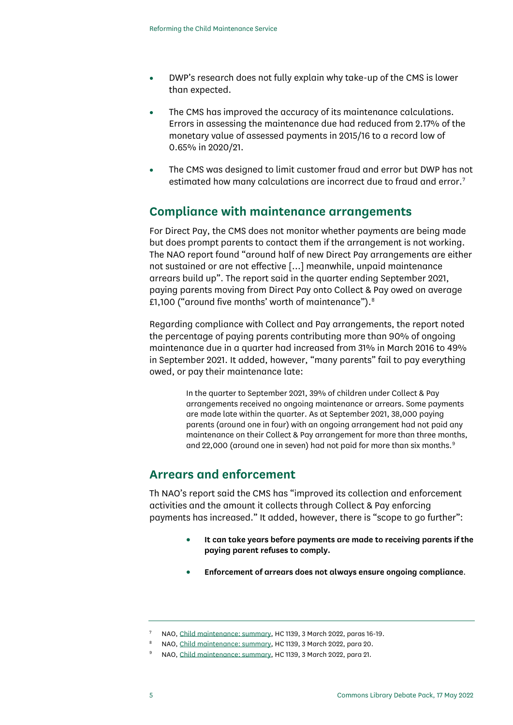- DWP's research does not fully explain why take-up of the CMS is lower than expected.
- The CMS has improved the accuracy of its maintenance calculations. Errors in assessing the maintenance due had reduced from 2.17% of the monetary value of assessed payments in 2015/16 to a record low of 0.65% in 2020/21.
- The CMS was designed to limit customer fraud and error but DWP has not estimated how many calculations are incorrect due to fraud and error.<sup>[7](#page-4-1)</sup>

### **Compliance with maintenance arrangements**

For Direct Pay, the CMS does not monitor whether payments are being made but does prompt parents to contact them if the arrangement is not working. The NAO report found "around half of new Direct Pay arrangements are either not sustained or are not effective […] meanwhile, unpaid maintenance arrears build up". The report said in the quarter ending September 2021, paying parents moving from Direct Pay onto Collect & Pay owed on average £1,100 ("around five months' worth of maintenance").<sup>[8](#page-4-2)</sup>

Regarding compliance with Collect and Pay arrangements, the report noted the percentage of paying parents contributing more than 90% of ongoing maintenance due in a quarter had increased from 31% in March 2016 to 49% in September 2021. It added, however, "many parents" fail to pay everything owed, or pay their maintenance late:

> In the quarter to September 2021, 39% of children under Collect & Pay arrangements received no ongoing maintenance or arrears. Some payments are made late within the quarter. As at September 2021, 38,000 paying parents (around one in four) with an ongoing arrangement had not paid any maintenance on their Collect & Pay arrangement for more than three months, and 22,000 (around one in seven) had not paid for more than six months.<sup>[9](#page-4-3)</sup>

### <span id="page-4-0"></span>**Arrears and enforcement**

Th NAO's report said the CMS has "improved its collection and enforcement activities and the amount it collects through Collect & Pay enforcing payments has increased." It added, however, there is "scope to go further":

- **It can take years before payments are made to receiving parents if the paying parent refuses to comply.**
- **Enforcement of arrears does not always ensure ongoing compliance**.

<sup>7</sup> NAO[, Child maintenance: summary,](https://www.nao.org.uk/wp-content/uploads/2022/03/Child-Maintenance-Summary.pdf) HC 1139, 3 March 2022, paras 16-19.

<span id="page-4-3"></span><span id="page-4-2"></span><span id="page-4-1"></span><sup>8</sup> NAO[, Child maintenance: summary,](https://www.nao.org.uk/wp-content/uploads/2022/03/Child-Maintenance-Summary.pdf) HC 1139, 3 March 2022, para 20.

<sup>9</sup> NAO[, Child maintenance: summary,](https://www.nao.org.uk/wp-content/uploads/2022/03/Child-Maintenance-Summary.pdf) HC 1139, 3 March 2022, para 21.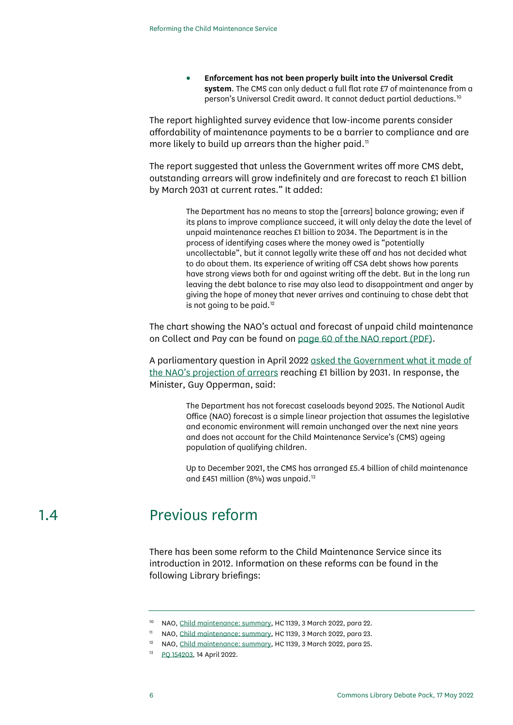• **Enforcement has not been properly built into the Universal Credit system**. The CMS can only deduct a full flat rate £7 of maintenance from a person's Universal Credit award. It cannot deduct partial deductions.[10](#page-5-1)

The report highlighted survey evidence that low-income parents consider affordability of maintenance payments to be a barrier to compliance and are more likely to build up arrears than the higher paid.<sup>[11](#page-5-2)</sup>

The report suggested that unless the Government writes off more CMS debt, outstanding arrears will grow indefinitely and are forecast to reach £1 billion by March 2031 at current rates." It added:

> The Department has no means to stop the [arrears] balance growing; even if its plans to improve compliance succeed, it will only delay the date the level of unpaid maintenance reaches £1 billion to 2034. The Department is in the process of identifying cases where the money owed is "potentially uncollectable", but it cannot legally write these off and has not decided what to do about them. Its experience of writing off CSA debt shows how parents have strong views both for and against writing off the debt. But in the long run leaving the debt balance to rise may also lead to disappointment and anger by giving the hope of money that never arrives and continuing to chase debt that is not going to be paid.<sup>[12](#page-5-3)</sup>

The chart showing the NAO's actual and forecast of unpaid child maintenance on Collect and Pay can be found on [page 60 of the NAO report \(PDF\).](https://www.nao.org.uk/wp-content/uploads/2022/03/Child-Maintenance.pdf)

A parliamentary question in April 202[2 asked the Government what it made of](https://questions-statements.parliament.uk/written-questions/detail/2022-04-14/154203)  [the NAO's projection of arrears](https://questions-statements.parliament.uk/written-questions/detail/2022-04-14/154203) reaching £1 billion by 2031. In response, the Minister, Guy Opperman, said:

> The Department has not forecast caseloads beyond 2025. The National Audit Office (NAO) forecast is a simple linear projection that assumes the legislative and economic environment will remain unchanged over the next nine years and does not account for the Child Maintenance Service's (CMS) ageing population of qualifying children.

> <span id="page-5-0"></span>Up to December 2021, the CMS has arranged £5.4 billion of child maintenance and £451 million (8%) was unpaid. $13$

## <span id="page-5-4"></span><span id="page-5-3"></span><span id="page-5-2"></span><span id="page-5-1"></span>1.4 Previous reform

There has been some reform to the Child Maintenance Service since its introduction in 2012. Information on these reforms can be found in the following Library briefings:

<sup>&</sup>lt;sup>10</sup> NAO[, Child maintenance: summary,](https://www.nao.org.uk/wp-content/uploads/2022/03/Child-Maintenance-Summary.pdf) HC 1139, 3 March 2022, para 22.

<sup>&</sup>lt;sup>11</sup> NAO[, Child maintenance: summary,](https://www.nao.org.uk/wp-content/uploads/2022/03/Child-Maintenance-Summary.pdf) HC 1139, 3 March 2022, para 23.

<sup>&</sup>lt;sup>12</sup> NAO[, Child maintenance: summary,](https://www.nao.org.uk/wp-content/uploads/2022/03/Child-Maintenance-Summary.pdf) HC 1139, 3 March 2022, para 25.

<sup>&</sup>lt;sup>13</sup> [PQ 154203,](https://questions-statements.parliament.uk/written-questions/detail/2022-04-14/154203) 14 April 2022.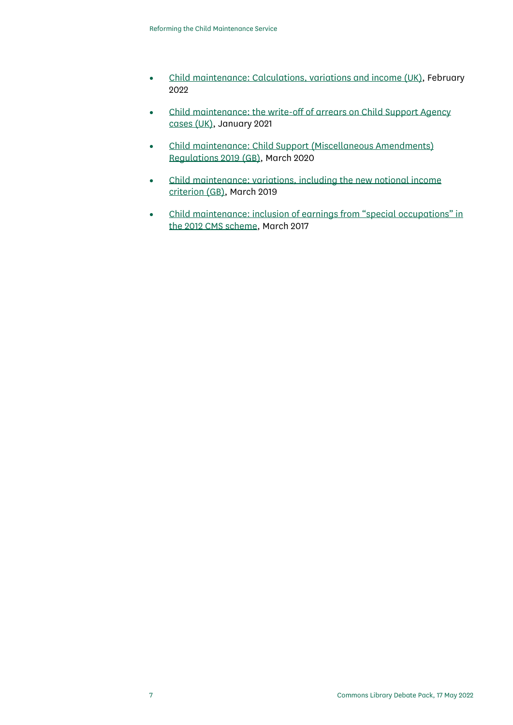- [Child maintenance: Calculations, variations and income \(UK\),](https://commonslibrary.parliament.uk/research-briefings/cbp-7770/) February 2022
- [Child maintenance: the write-off of arrears on Child Support Agency](https://commonslibrary.parliament.uk/research-briefings/cbp-7776/)  [cases \(UK\),](https://commonslibrary.parliament.uk/research-briefings/cbp-7776/) January 2021
- [Child maintenance: Child Support \(Miscellaneous Amendments\)](https://commonslibrary.parliament.uk/research-briefings/cbp-8588/)  [Regulations 2019 \(GB\),](https://commonslibrary.parliament.uk/research-briefings/cbp-8588/) March 2020
- [Child maintenance: variations, including the new notional income](https://commonslibrary.parliament.uk/research-briefings/cbp-7773/)  [criterion \(GB\),](https://commonslibrary.parliament.uk/research-briefings/cbp-7773/) March 2019
- [Child maintenance: inclusion of earnings from "special occupations" in](https://commonslibrary.parliament.uk/research-briefings/cbp-7772/)  [the 2012 CMS scheme,](https://commonslibrary.parliament.uk/research-briefings/cbp-7772/) March 2017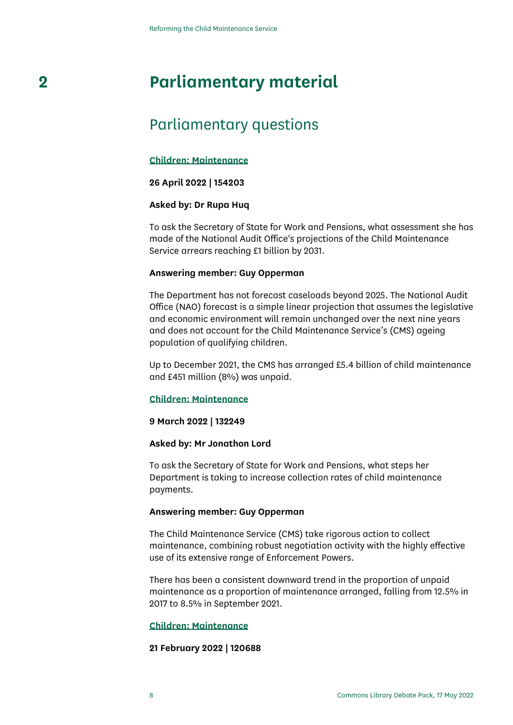# **2 Parliamentary material**

## <span id="page-7-0"></span>Parliamentary questions

#### **[Children: Maintenance](https://questions-statements.parliament.uk/written-questions/detail/2022-04-14/154203)**

#### **26 April 2022 | 154203**

#### **Asked by: Dr Rupa Huq**

To ask the Secretary of State for Work and Pensions, what assessment she has made of the National Audit Office's projections of the Child Maintenance Service arrears reaching £1 billion by 2031.

#### **Answering member: Guy Opperman**

The Department has not forecast caseloads beyond 2025. The National Audit Office (NAO) forecast is a simple linear projection that assumes the legislative and economic environment will remain unchanged over the next nine years and does not account for the Child Maintenance Service's (CMS) ageing population of qualifying children.

Up to December 2021, the CMS has arranged £5.4 billion of child maintenance and £451 million (8%) was unpaid.

#### **[Children: Maintenance](https://questions-statements.parliament.uk/written-questions/detail/2022-03-01/132249)**

#### **9 March 2022 | 132249**

#### **Asked by: Mr Jonathon Lord**

To ask the Secretary of State for Work and Pensions, what steps her Department is taking to increase collection rates of child maintenance payments.

#### **Answering member: Guy Opperman**

The Child Maintenance Service (CMS) take rigorous action to collect maintenance, combining robust negotiation activity with the highly effective use of its extensive range of Enforcement Powers.

There has been a consistent downward trend in the proportion of unpaid maintenance as a proportion of maintenance arranged, falling from 12.5% in 2017 to 8.5% in September 2021.

#### **[Children: Maintenance](https://questions-statements.parliament.uk/written-questions/detail/2022-02-08/120688)**

#### **21 February 2022 | 120688**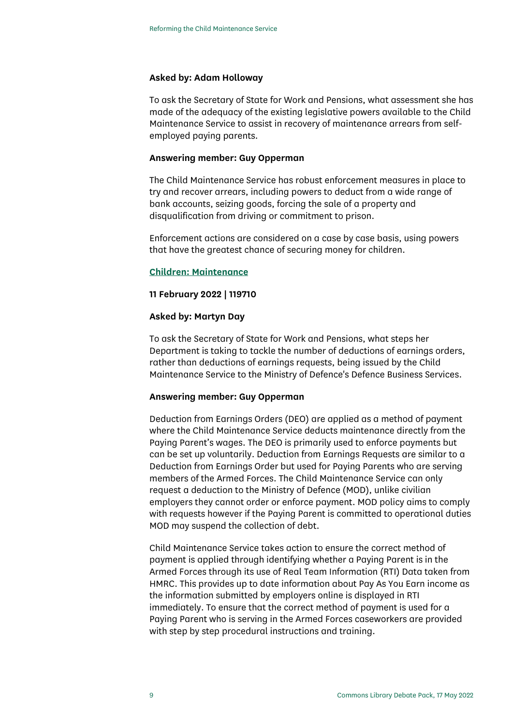#### **Asked by: Adam Holloway**

To ask the Secretary of State for Work and Pensions, what assessment she has made of the adequacy of the existing legislative powers available to the Child Maintenance Service to assist in recovery of maintenance arrears from selfemployed paying parents.

#### **Answering member: Guy Opperman**

The Child Maintenance Service has robust enforcement measures in place to try and recover arrears, including powers to deduct from a wide range of bank accounts, seizing goods, forcing the sale of a property and disqualification from driving or commitment to prison.

Enforcement actions are considered on a case by case basis, using powers that have the greatest chance of securing money for children.

#### **[Children: Maintenance](https://questions-statements.parliament.uk/written-questions/detail/2022-02-07/119710)**

#### **11 February 2022 | 119710**

#### **Asked by: Martyn Day**

To ask the Secretary of State for Work and Pensions, what steps her Department is taking to tackle the number of deductions of earnings orders, rather than deductions of earnings requests, being issued by the Child Maintenance Service to the Ministry of Defence's Defence Business Services.

#### **Answering member: Guy Opperman**

Deduction from Earnings Orders (DEO) are applied as a method of payment where the Child Maintenance Service deducts maintenance directly from the Paying Parent's wages. The DEO is primarily used to enforce payments but can be set up voluntarily. Deduction from Earnings Requests are similar to a Deduction from Earnings Order but used for Paying Parents who are serving members of the Armed Forces. The Child Maintenance Service can only request a deduction to the Ministry of Defence (MOD), unlike civilian employers they cannot order or enforce payment. MOD policy aims to comply with requests however if the Paying Parent is committed to operational duties MOD may suspend the collection of debt.

Child Maintenance Service takes action to ensure the correct method of payment is applied through identifying whether a Paying Parent is in the Armed Forces through its use of Real Team Information (RTI) Data taken from HMRC. This provides up to date information about Pay As You Earn income as the information submitted by employers online is displayed in RTI immediately. To ensure that the correct method of payment is used for a Paying Parent who is serving in the Armed Forces caseworkers are provided with step by step procedural instructions and training.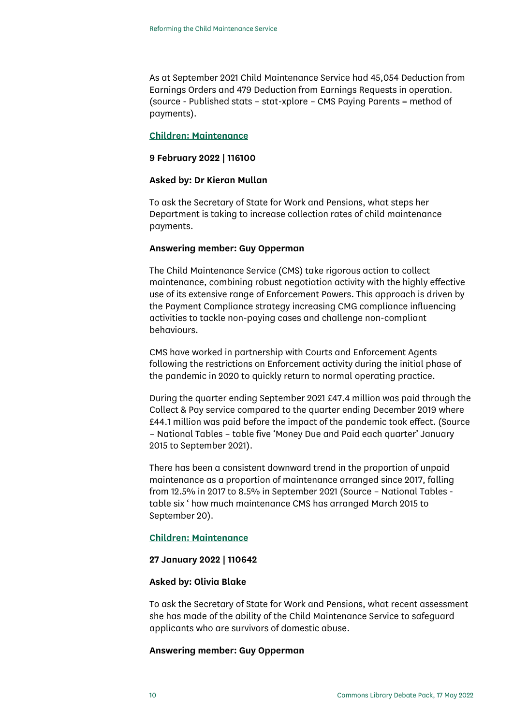As at September 2021 Child Maintenance Service had 45,054 Deduction from Earnings Orders and 479 Deduction from Earnings Requests in operation. (source - Published stats – stat-xplore – CMS Paying Parents = method of payments).

#### **[Children: Maintenance](https://questions-statements.parliament.uk/written-questions/detail/2022-02-01/116100)**

#### **9 February 2022 | 116100**

#### **Asked by: Dr Kieran Mullan**

To ask the Secretary of State for Work and Pensions, what steps her Department is taking to increase collection rates of child maintenance payments.

#### **Answering member: Guy Opperman**

The Child Maintenance Service (CMS) take rigorous action to collect maintenance, combining robust negotiation activity with the highly effective use of its extensive range of Enforcement Powers. This approach is driven by the Payment Compliance strategy increasing CMG compliance influencing activities to tackle non-paying cases and challenge non-compliant behaviours.

CMS have worked in partnership with Courts and Enforcement Agents following the restrictions on Enforcement activity during the initial phase of the pandemic in 2020 to quickly return to normal operating practice.

During the quarter ending September 2021 £47.4 million was paid through the Collect & Pay service compared to the quarter ending December 2019 where £44.1 million was paid before the impact of the pandemic took effect. (Source – National Tables – table five 'Money Due and Paid each quarter' January 2015 to September 2021).

There has been a consistent downward trend in the proportion of unpaid maintenance as a proportion of maintenance arranged since 2017, falling from 12.5% in 2017 to 8.5% in September 2021 (Source – National Tables table six ' how much maintenance CMS has arranged March 2015 to September 20).

#### **[Children: Maintenance](https://questions-statements.parliament.uk/written-questions/detail/2022-01-24/110642)**

#### **27 January 2022 | 110642**

#### **Asked by: Olivia Blake**

To ask the Secretary of State for Work and Pensions, what recent assessment she has made of the ability of the Child Maintenance Service to safeguard applicants who are survivors of domestic abuse.

#### **Answering member: Guy Opperman**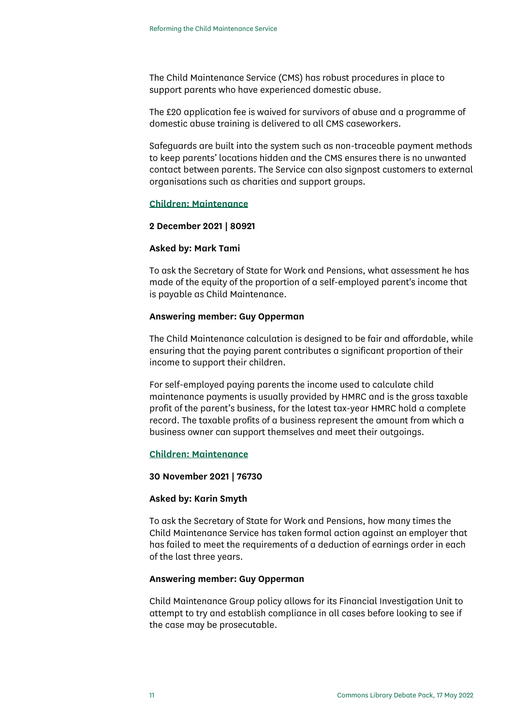The Child Maintenance Service (CMS) has robust procedures in place to support parents who have experienced domestic abuse.

The £20 application fee is waived for survivors of abuse and a programme of domestic abuse training is delivered to all CMS caseworkers.

Safeguards are built into the system such as non-traceable payment methods to keep parents' locations hidden and the CMS ensures there is no unwanted contact between parents. The Service can also signpost customers to external organisations such as charities and support groups.

#### **[Children: Maintenance](https://questions-statements.parliament.uk/written-questions/detail/2021-11-24/80921)**

#### **2 December 2021 | 80921**

#### **Asked by: Mark Tami**

To ask the Secretary of State for Work and Pensions, what assessment he has made of the equity of the proportion of a self-employed parent's income that is payable as Child Maintenance.

#### **Answering member: Guy Opperman**

The Child Maintenance calculation is designed to be fair and affordable, while ensuring that the paying parent contributes a significant proportion of their income to support their children.

For self-employed paying parents the income used to calculate child maintenance payments is usually provided by HMRC and is the gross taxable profit of the parent's business, for the latest tax-year HMRC hold a complete record. The taxable profits of a business represent the amount from which a business owner can support themselves and meet their outgoings.

#### **[Children: Maintenance](https://questions-statements.parliament.uk/written-questions/detail/2021-11-17/76730)**

#### **30 November 2021 | 76730**

#### **Asked by: Karin Smyth**

To ask the Secretary of State for Work and Pensions, how many times the Child Maintenance Service has taken formal action against an employer that has failed to meet the requirements of a deduction of earnings order in each of the last three years.

#### **Answering member: Guy Opperman**

Child Maintenance Group policy allows for its Financial Investigation Unit to attempt to try and establish compliance in all cases before looking to see if the case may be prosecutable.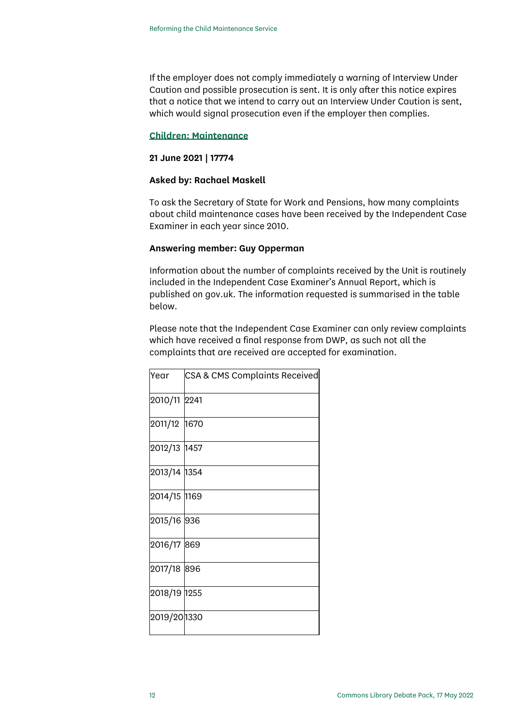If the employer does not comply immediately a warning of Interview Under Caution and possible prosecution is sent. It is only after this notice expires that a notice that we intend to carry out an Interview Under Caution is sent, which would signal prosecution even if the employer then complies.

#### **[Children: Maintenance](https://questions-statements.parliament.uk/written-questions/detail/2021-06-17/17774)**

#### **21 June 2021 | 17774**

#### **Asked by: Rachael Maskell**

To ask the Secretary of State for Work and Pensions, how many complaints about child maintenance cases have been received by the Independent Case Examiner in each year since 2010.

#### **Answering member: Guy Opperman**

Information about the number of complaints received by the Unit is routinely included in the Independent Case Examiner's Annual Report, which is published on gov.uk. The information requested is summarised in the table below.

Please note that the Independent Case Examiner can only review complaints which have received a final response from DWP, as such not all the complaints that are received are accepted for examination.

| Year         | CSA & CMS Complaints Received |
|--------------|-------------------------------|
| 2010/11      | 2241                          |
| 2011/12 1670 |                               |
| 2012/13 1457 |                               |
| 2013/14 1354 |                               |
| 2014/15 1169 |                               |
| 2015/16 936  |                               |
| 2016/17 869  |                               |
| 2017/18      | 896                           |
| 2018/19 1255 |                               |
| 2019/201330  |                               |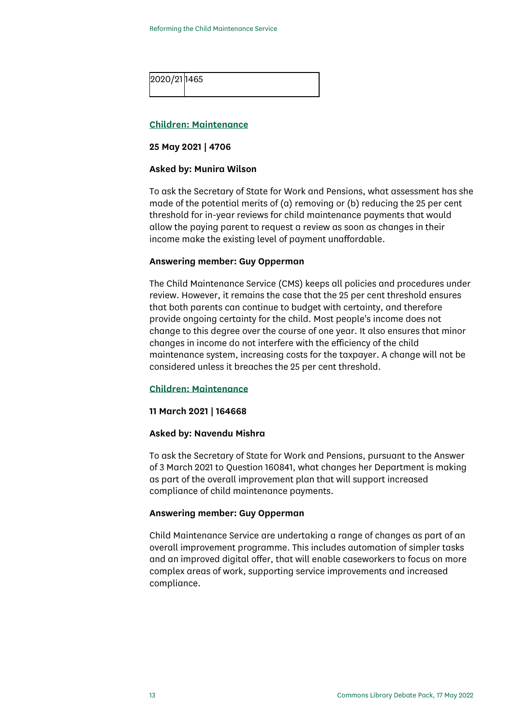

#### **[Children: Maintenance](https://questions-statements.parliament.uk/written-questions/detail/2021-05-20/4706)**

#### **25 May 2021 | 4706**

#### **Asked by: Munira Wilson**

To ask the Secretary of State for Work and Pensions, what assessment has she made of the potential merits of (a) removing or (b) reducing the 25 per cent threshold for in-year reviews for child maintenance payments that would allow the paying parent to request a review as soon as changes in their income make the existing level of payment unaffordable.

#### **Answering member: Guy Opperman**

The Child Maintenance Service (CMS) keeps all policies and procedures under review. However, it remains the case that the 25 per cent threshold ensures that both parents can continue to budget with certainty, and therefore provide ongoing certainty for the child. Most people's income does not change to this degree over the course of one year. It also ensures that minor changes in income do not interfere with the efficiency of the child maintenance system, increasing costs for the taxpayer. A change will not be considered unless it breaches the 25 per cent threshold.

#### **[Children: Maintenance](https://questions-statements.parliament.uk/written-questions/detail/2021-03-08/164668)**

#### **11 March 2021 | 164668**

#### **Asked by: Navendu Mishra**

To ask the Secretary of State for Work and Pensions, pursuant to the Answer of 3 March 2021 to Question 160841, what changes her Department is making as part of the overall improvement plan that will support increased compliance of child maintenance payments.

#### **Answering member: Guy Opperman**

Child Maintenance Service are undertaking a range of changes as part of an overall improvement programme. This includes automation of simpler tasks and an improved digital offer, that will enable caseworkers to focus on more complex areas of work, supporting service improvements and increased compliance.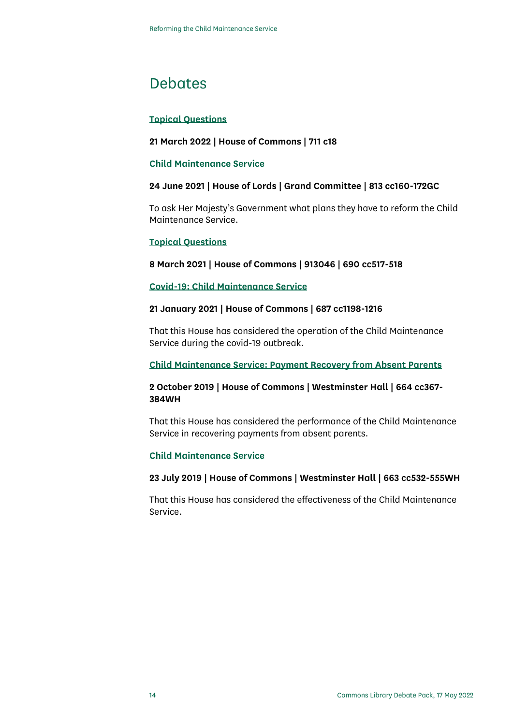### **Debates**

#### **[Topical Questions](https://hansard.parliament.uk/Commons/2022-03-21/debates/1089A0E8-BABA-408A-8E0D-4EF0448342B2/TopicalQuestions#contribution-9ED53B50-7268-45B5-8FB8-4F77A8CAE08F)**

#### **21 March 2022 | House of Commons | 711 c18**

#### **[Child Maintenance Service](https://hansard.parliament.uk/lords/2021-06-24/debates/F233BEB5-D741-4B41-8317-6C9BD9470B55/ChildMaintenanceService)**

#### **24 June 2021 | House of Lords | Grand Committee | 813 cc160-172GC**

To ask Her Majesty's Government what plans they have to reform the Child Maintenance Service.

#### **[Topical Questions](https://hansard.parliament.uk/Commons/2021-03-08/debates/D9EA0134-5B9B-4513-8A12-EADEF8A1FE86/TopicalQuestions#contribution-A12ADD5C-E442-495E-A22F-46BAB2B18906)**

#### **8 March 2021 | House of Commons | 913046 | 690 cc517-518**

#### **[Covid-19: Child Maintenance Service](https://hansard.parliament.uk/Commons/2021-01-21/debates/0E3957B0-D917-4B4B-9D08-0C7F6486B4AB/Covid-19ChildMaintenanceService)**

#### **21 January 2021 | House of Commons | 687 cc1198-1216**

That this House has considered the operation of the Child Maintenance Service during the covid-19 outbreak.

#### **[Child Maintenance Service: Payment Recovery from Absent Parents](https://hansard.parliament.uk/Commons/2019-10-02/debates/1FA51A99-D83E-4464-A395-9026D2E04227/ChildMaintenanceServicePaymentRecoveryFromAbsentParents)**

#### **2 October 2019 | House of Commons | Westminster Hall | 664 cc367- 384WH**

That this House has considered the performance of the Child Maintenance Service in recovering payments from absent parents.

#### **[Child Maintenance Service](https://hansard.parliament.uk/Commons/2019-07-23/debates/0A093ACC-4A8F-468F-BC1B-6419DF9B9735/ChildMaintenanceService)**

#### **23 July 2019 | House of Commons | Westminster Hall | 663 cc532-555WH**

That this House has considered the effectiveness of the Child Maintenance Service.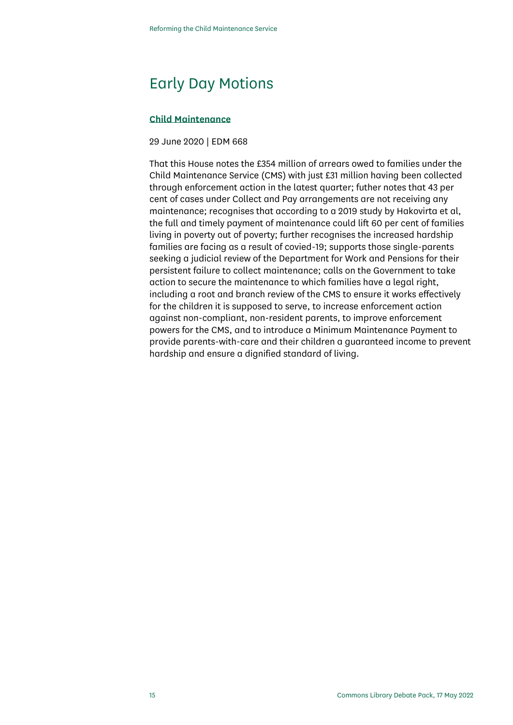## Early Day Motions

#### **[Child Maintenance](https://edm.parliament.uk/early-day-motion/57191/child-maintenance)**

#### 29 June 2020 | EDM 668

That this House notes the £354 million of arrears owed to families under the Child Maintenance Service (CMS) with just £31 million having been collected through enforcement action in the latest quarter; futher notes that 43 per cent of cases under Collect and Pay arrangements are not receiving any maintenance; recognises that according to a 2019 study by Hakovirta et al, the full and timely payment of maintenance could lift 60 per cent of families living in poverty out of poverty; further recognises the increased hardship families are facing as a result of covied-19; supports those single-parents seeking a judicial review of the Department for Work and Pensions for their persistent failure to collect maintenance; calls on the Government to take action to secure the maintenance to which families have a legal right, including a root and branch review of the CMS to ensure it works effectively for the children it is supposed to serve, to increase enforcement action against non-compliant, non-resident parents, to improve enforcement powers for the CMS, and to introduce a Minimum Maintenance Payment to provide parents-with-care and their children a guaranteed income to prevent hardship and ensure a dignified standard of living.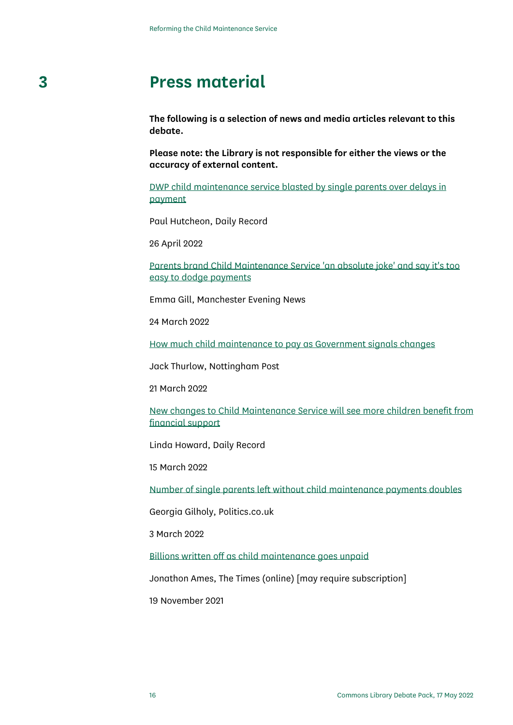# **3 Press material**

<span id="page-15-0"></span>**The following is a selection of news and media articles relevant to this debate.** 

**Please note: the Library is not responsible for either the views or the accuracy of external content.**

[DWP child maintenance service blasted by single parents over delays in](https://www.dailyrecord.co.uk/news/politics/dwp-child-maintenance-service-blasted-26794917)  [payment](https://www.dailyrecord.co.uk/news/politics/dwp-child-maintenance-service-blasted-26794917)

Paul Hutcheon, Daily Record

26 April 2022

[Parents brand Child Maintenance Service 'an absolute joke' and say it's too](https://www.manchestereveningnews.co.uk/news/parenting/parents-brand-child-maintenance-service-23457833)  [easy to dodge payments](https://www.manchestereveningnews.co.uk/news/parenting/parents-brand-child-maintenance-service-23457833)

Emma Gill, Manchester Evening News

24 March 2022

[How much child maintenance to pay as Government signals changes](https://www.nottinghampost.com/news/nottingham-news/how-much-child-maintenance-pay-6834519)

Jack Thurlow, Nottingham Post

21 March 2022

[New changes to Child Maintenance Service will see more children benefit from](https://www.dailyrecord.co.uk/lifestyle/money/new-changes-child-maintenance-service-26469910)  [financial support](https://www.dailyrecord.co.uk/lifestyle/money/new-changes-child-maintenance-service-26469910)

Linda Howard, Daily Record

15 March 2022

[Number of single parents left without child maintenance payments doubles](https://www.politics.co.uk/news/2022/03/03/number-of-single-parents-left-without-child-maintenance-payments-doubles/)

Georgia Gilholy, Politics.co.uk

3 March 2022

[Billions written off as child maintenance goes unpaid](https://www.thetimes.co.uk/article/billions-written-off-as-child-maintenance-goes-unpaid-z9hptwwbg)

Jonathon Ames, The Times (online) [may require subscription]

19 November 2021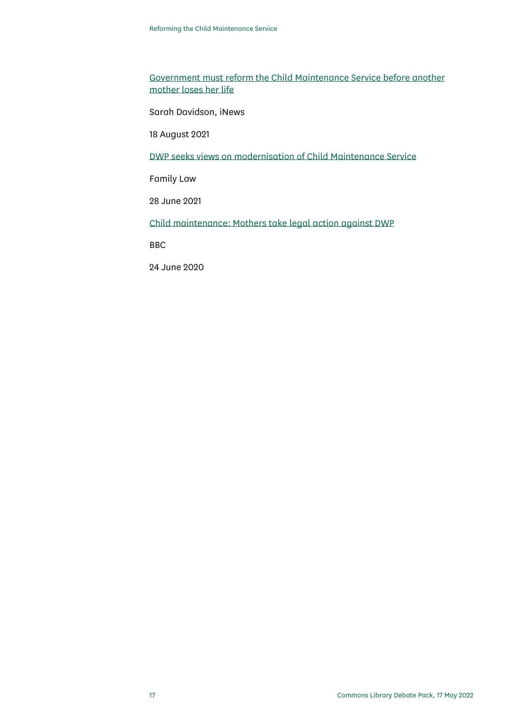[Government must reform the Child Maintenance Service before another](https://inews.co.uk/inews-lifestyle/money/ethical-money/we-cant-wait-for-another-tragedy-like-emma-days-before-we-fix-the-system-1155766)  [mother loses her life](https://inews.co.uk/inews-lifestyle/money/ethical-money/we-cant-wait-for-another-tragedy-like-emma-days-before-we-fix-the-system-1155766)

Sarah Davidson, iNews

18 August 2021

[DWP seeks views on modernisation of Child Maintenance Service](https://www.familylaw.co.uk/news_and_comment/dwp-seeks-views-on-modernisation-of-child-maintenance-service)

Family Law

28 June 2021

[Child maintenance: Mothers take legal action against DWP](https://www.bbc.co.uk/news/uk-england-53064741)

BBC

24 June 2020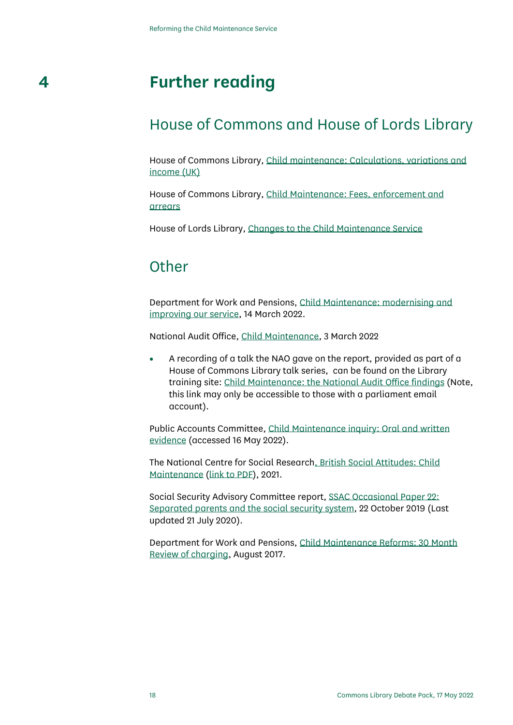# **4 Further reading**

### <span id="page-17-0"></span>House of Commons and House of Lords Library

House of Commons Library, [Child maintenance: Calculations, variations and](https://commonslibrary.parliament.uk/research-briefings/cbp-7770/)  [income \(UK\)](https://commonslibrary.parliament.uk/research-briefings/cbp-7770/)

House of Commons Library, [Child Maintenance: Fees, enforcement and](https://commonslibrary.parliament.uk/research-briefings/cbp-7774/)  [arrears](https://commonslibrary.parliament.uk/research-briefings/cbp-7774/)

House of Lords Library, [Changes to the Child Maintenance Service](https://lordslibrary.parliament.uk/changes-to-the-child-maintenance-service/)

### **Other**

Department for Work and Pensions[, Child Maintenance: modernising and](https://www.gov.uk/government/consultations/child-maintenance-modernising-and-improving-our-service/outcome/government-response-child-maintenance-modernising-and-improving-our-service)  [improving our service,](https://www.gov.uk/government/consultations/child-maintenance-modernising-and-improving-our-service/outcome/government-response-child-maintenance-modernising-and-improving-our-service) 14 March 2022.

National Audit Office, [Child Maintenance,](https://www.nao.org.uk/report/child-maintenance/?utm_campaign=child-maintenance&utm_content=&utm_medium=email&utm_name=&utm_source=govdelivery&utm_term=) 3 March 2022

• A recording of a talk the NAO gave on the report, provided as part of a House of Commons Library talk series, can be found on the Library training site: [Child Maintenance: the National Audit Office findings](https://parliament.learningpool.com/mod/resource/view.php?id=5161) (Note, this link may only be accessible to those with a parliament email account).

Public Accounts Committee, [Child Maintenance inquiry: Oral and written](https://committees.parliament.uk/work/6434/child-maintenance/publications/)  [evidence](https://committees.parliament.uk/work/6434/child-maintenance/publications/) (accessed 16 May 2022).

The National Centre for Social Researc[h, British Social Attitudes: Child](https://www.bsa.natcen.ac.uk/latest-report/british-social-attitudes-38/child-maintenance.aspx)  [Maintenance](https://www.bsa.natcen.ac.uk/latest-report/british-social-attitudes-38/child-maintenance.aspx) [\(link to PDF\)](https://bsa.natcen.ac.uk/media/39432/bsa38_child-maintenance.pdf), 2021.

Social Security Advisory Committee report, [SSAC Occasional Paper 22:](https://www.gov.uk/government/publications/ssac-occasional-paper-22-separated-parents-and-the-social-security-system#full-publication-update-history)  [Separated parents and the social security system,](https://www.gov.uk/government/publications/ssac-occasional-paper-22-separated-parents-and-the-social-security-system#full-publication-update-history) 22 October 2019 (Last updated 21 July 2020).

Department for Work and Pensions[, Child Maintenance Reforms: 30 Month](https://assets.publishing.service.gov.uk/government/uploads/system/uploads/attachment_data/file/635558/child-maintenance-reforms-30-month-review-of-charging-print-version.pdf)  [Review of charging,](https://assets.publishing.service.gov.uk/government/uploads/system/uploads/attachment_data/file/635558/child-maintenance-reforms-30-month-review-of-charging-print-version.pdf) August 2017.